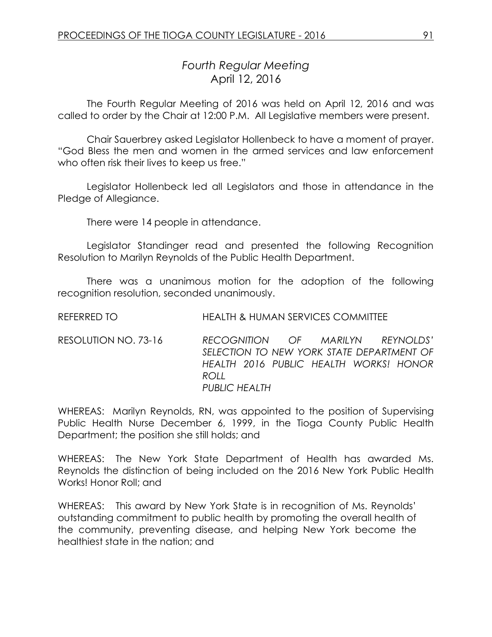# *Fourth Regular Meeting* April 12, 2016

The Fourth Regular Meeting of 2016 was held on April 12, 2016 and was called to order by the Chair at 12:00 P.M. All Legislative members were present.

Chair Sauerbrey asked Legislator Hollenbeck to have a moment of prayer. "God Bless the men and women in the armed services and law enforcement who often risk their lives to keep us free."

Legislator Hollenbeck led all Legislators and those in attendance in the Pledge of Allegiance.

There were 14 people in attendance.

Legislator Standinger read and presented the following Recognition Resolution to Marilyn Reynolds of the Public Health Department.

There was a unanimous motion for the adoption of the following recognition resolution, seconded unanimously.

REFERRED TO HEALTH & HUMAN SERVICES COMMITTEE

RESOLUTION NO. 73-16 *RECOGNITION OF MARILYN REYNOLDS' SELECTION TO NEW YORK STATE DEPARTMENT OF HEALTH 2016 PUBLIC HEALTH WORKS! HONOR ROLL PUBLIC HEALTH*

WHEREAS: Marilyn Reynolds, RN, was appointed to the position of Supervising Public Health Nurse December 6, 1999, in the Tioga County Public Health Department; the position she still holds; and

WHEREAS: The New York State Department of Health has awarded Ms. Reynolds the distinction of being included on the 2016 New York Public Health Works! Honor Roll; and

WHEREAS: This award by New York State is in recognition of Ms. Reynolds' outstanding commitment to public health by promoting the overall health of the community, preventing disease, and helping New York become the healthiest state in the nation; and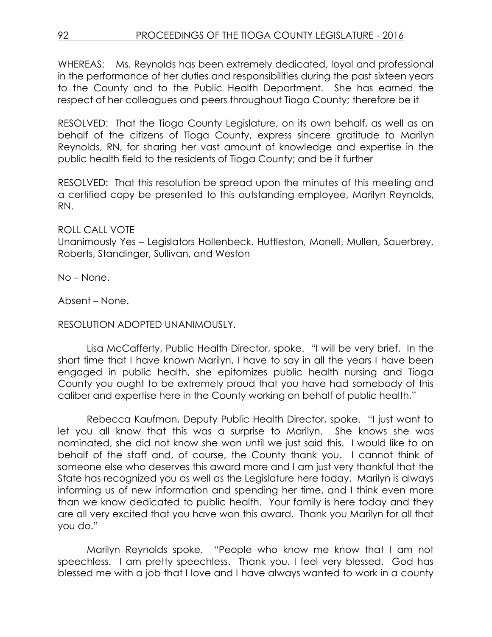WHEREAS: Ms. Reynolds has been extremely dedicated, loyal and professional in the performance of her duties and responsibilities during the past sixteen years to the County and to the Public Health Department. She has earned the respect of her colleagues and peers throughout Tioga County; therefore be it

RESOLVED: That the Tioga County Legislature, on its own behalf, as well as on behalf of the citizens of Tioga County, express sincere gratitude to Marilyn Reynolds, RN, for sharing her vast amount of knowledge and expertise in the public health field to the residents of Tioga County; and be it further

RESOLVED: That this resolution be spread upon the minutes of this meeting and a certified copy be presented to this outstanding employee, Marilyn Reynolds, RN.

# ROLL CALL VOTE

Unanimously Yes – Legislators Hollenbeck, Huttleston, Monell, Mullen, Sauerbrey, Roberts, Standinger, Sullivan, and Weston

No – None.

Absent – None.

### RESOLUTION ADOPTED UNANIMOUSLY.

Lisa McCafferty, Public Health Director, spoke. "I will be very brief. In the short time that I have known Marilyn, I have to say in all the years I have been engaged in public health, she epitomizes public health nursing and Tioga County you ought to be extremely proud that you have had somebody of this caliber and expertise here in the County working on behalf of public health."

Rebecca Kaufman, Deputy Public Health Director, spoke. "I just want to let you all know that this was a surprise to Marilyn. She knows she was nominated, she did not know she won until we just said this. I would like to on behalf of the staff and, of course, the County thank you. I cannot think of someone else who deserves this award more and I am just very thankful that the State has recognized you as well as the Legislature here today. Marilyn is always informing us of new information and spending her time, and I think even more than we know dedicated to public health. Your family is here today and they are all very excited that you have won this award. Thank you Marilyn for all that you do."

Marilyn Reynolds spoke. "People who know me know that I am not speechless. I am pretty speechless. Thank you. I feel very blessed. God has blessed me with a job that I love and I have always wanted to work in a county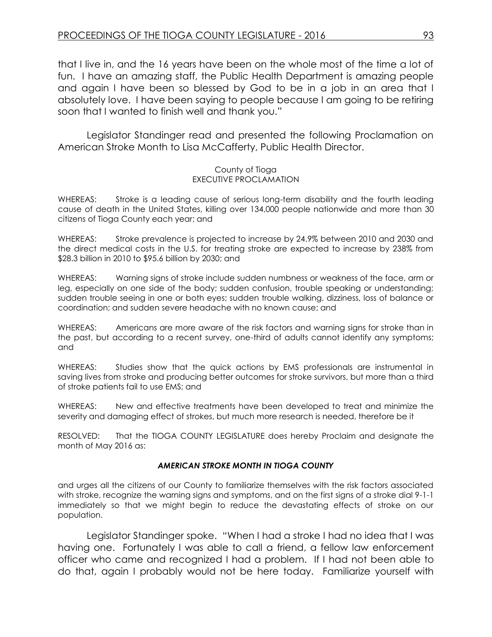that I live in, and the 16 years have been on the whole most of the time a lot of fun. I have an amazing staff, the Public Health Department is amazing people and again I have been so blessed by God to be in a job in an area that I absolutely love. I have been saying to people because I am going to be retiring soon that I wanted to finish well and thank you."

Legislator Standinger read and presented the following Proclamation on American Stroke Month to Lisa McCafferty, Public Health Director.

#### County of Tioga EXECUTIVE PROCLAMATION

WHEREAS: Stroke is a leading cause of serious long-term disability and the fourth leading cause of death in the United States, killing over 134,000 people nationwide and more than 30 citizens of Tioga County each year; and

WHEREAS: Stroke prevalence is projected to increase by 24.9% between 2010 and 2030 and the direct medical costs in the U.S. for treating stroke are expected to increase by 238% from \$28.3 billion in 2010 to \$95.6 billion by 2030; and

WHEREAS: Warning signs of stroke include sudden numbness or weakness of the face, arm or leg, especially on one side of the body; sudden confusion, trouble speaking or understanding; sudden trouble seeing in one or both eyes; sudden trouble walking, dizziness, loss of balance or coordination; and sudden severe headache with no known cause; and

WHEREAS: Americans are more aware of the risk factors and warning signs for stroke than in the past, but according to a recent survey, one-third of adults cannot identify any symptoms; and

WHEREAS: Studies show that the quick actions by EMS professionals are instrumental in saving lives from stroke and producing better outcomes for stroke survivors, but more than a third of stroke patients fail to use EMS; and

WHEREAS: New and effective treatments have been developed to treat and minimize the severity and damaging effect of strokes, but much more research is needed, therefore be it

RESOLVED: That the TIOGA COUNTY LEGISLATURE does hereby Proclaim and designate the month of May 2016 as:

#### *AMERICAN STROKE MONTH IN TIOGA COUNTY*

and urges all the citizens of our County to familiarize themselves with the risk factors associated with stroke, recognize the warning signs and symptoms, and on the first signs of a stroke dial 9-1-1 immediately so that we might begin to reduce the devastating effects of stroke on our population.

Legislator Standinger spoke. "When I had a stroke I had no idea that I was having one. Fortunately I was able to call a friend, a fellow law enforcement officer who came and recognized I had a problem. If I had not been able to do that, again I probably would not be here today. Familiarize yourself with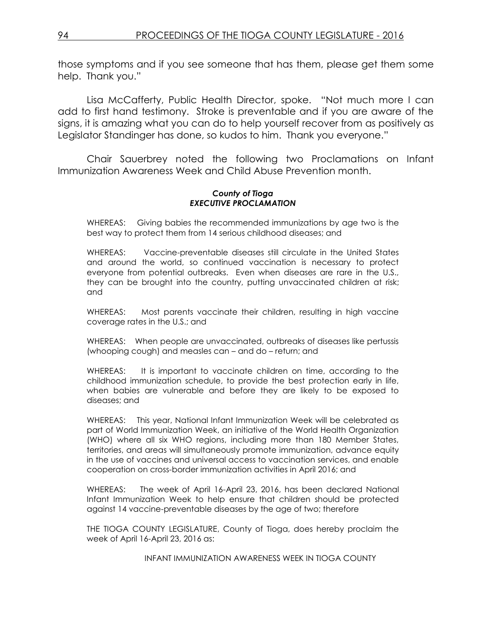those symptoms and if you see someone that has them, please get them some help. Thank you."

Lisa McCafferty, Public Health Director, spoke. "Not much more I can add to first hand testimony. Stroke is preventable and if you are aware of the signs, it is amazing what you can do to help yourself recover from as positively as Legislator Standinger has done, so kudos to him. Thank you everyone."

Chair Sauerbrey noted the following two Proclamations on Infant Immunization Awareness Week and Child Abuse Prevention month.

#### *County of Tioga EXECUTIVE PROCLAMATION*

WHEREAS: Giving babies the recommended immunizations by age two is the best way to protect them from 14 serious childhood diseases; and

WHEREAS: Vaccine-preventable diseases still circulate in the United States and around the world, so continued vaccination is necessary to protect everyone from potential outbreaks. Even when diseases are rare in the U.S., they can be brought into the country, putting unvaccinated children at risk; and

WHEREAS: Most parents vaccinate their children, resulting in high vaccine coverage rates in the U.S.; and

WHEREAS: When people are unvaccinated, outbreaks of diseases like pertussis (whooping cough) and measles can – and do – return; and

WHEREAS: It is important to vaccinate children on time, according to the childhood immunization schedule, to provide the best protection early in life, when babies are vulnerable and before they are likely to be exposed to diseases; and

WHEREAS: This year, National Infant Immunization Week will be celebrated as part of World Immunization Week, an initiative of the World Health Organization (WHO) where all six WHO regions, including more than 180 Member States, territories, and areas will simultaneously promote immunization, advance equity in the use of vaccines and universal access to vaccination services, and enable cooperation on cross-border immunization activities in April 2016; and

WHEREAS: The week of April 16-April 23, 2016, has been declared National Infant Immunization Week to help ensure that children should be protected against 14 vaccine-preventable diseases by the age of two; therefore

THE TIOGA COUNTY LEGISLATURE, County of Tioga, does hereby proclaim the week of April 16-April 23, 2016 as:

INFANT IMMUNIZATION AWARENESS WEEK IN TIOGA COUNTY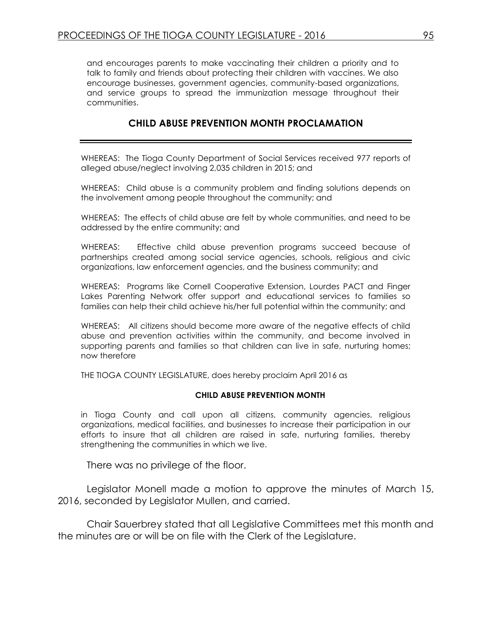and encourages parents to make vaccinating their children a priority and to talk to family and friends about protecting their children with vaccines. We also encourage businesses, government agencies, community-based organizations, and service groups to spread the immunization message throughout their communities.

#### **CHILD ABUSE PREVENTION MONTH PROCLAMATION**

WHEREAS: The Tioga County Department of Social Services received 977 reports of alleged abuse/neglect involving 2,035 children in 2015; and

WHEREAS: Child abuse is a community problem and finding solutions depends on the involvement among people throughout the community; and

WHEREAS: The effects of child abuse are felt by whole communities, and need to be addressed by the entire community; and

WHEREAS: Effective child abuse prevention programs succeed because of partnerships created among social service agencies, schools, religious and civic organizations, law enforcement agencies, and the business community; and

WHEREAS: Programs like Cornell Cooperative Extension, Lourdes PACT and Finger Lakes Parenting Network offer support and educational services to families so families can help their child achieve his/her full potential within the community; and

WHEREAS: All citizens should become more aware of the negative effects of child abuse and prevention activities within the community, and become involved in supporting parents and families so that children can live in safe, nurturing homes; now therefore

THE TIOGA COUNTY LEGISLATURE, does hereby proclaim April 2016 as

#### **CHILD ABUSE PREVENTION MONTH**

in Tioga County and call upon all citizens, community agencies, religious organizations, medical facilities, and businesses to increase their participation in our efforts to insure that all children are raised in safe, nurturing families, thereby strengthening the communities in which we live.

There was no privilege of the floor.

Legislator Monell made a motion to approve the minutes of March 15, 2016, seconded by Legislator Mullen, and carried.

Chair Sauerbrey stated that all Legislative Committees met this month and the minutes are or will be on file with the Clerk of the Legislature.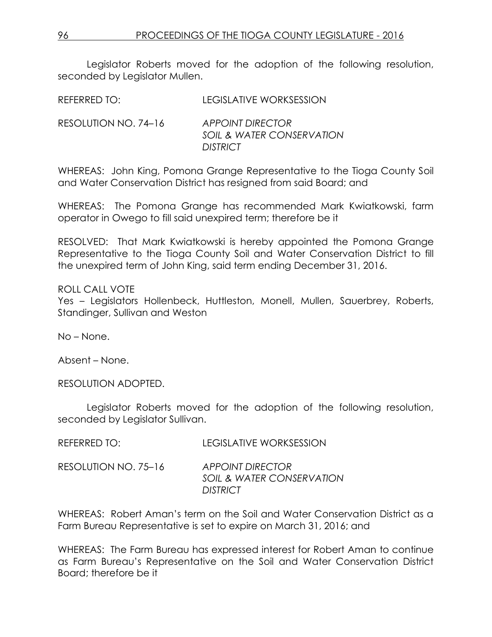Legislator Roberts moved for the adoption of the following resolution, seconded by Legislator Mullen.

| REFERRED TO: | <b>LEGISLATIVE WORKSESSION</b> |
|--------------|--------------------------------|
|              |                                |

RESOLUTION NO. 74–16 *APPOINT DIRECTOR SOIL & WATER CONSERVATION DISTRICT*

WHEREAS: John King, Pomona Grange Representative to the Tioga County Soil and Water Conservation District has resigned from said Board; and

WHEREAS: The Pomona Grange has recommended Mark Kwiatkowski, farm operator in Owego to fill said unexpired term; therefore be it

RESOLVED: That Mark Kwiatkowski is hereby appointed the Pomona Grange Representative to the Tioga County Soil and Water Conservation District to fill the unexpired term of John King, said term ending December 31, 2016.

ROLL CALL VOTE

Yes – Legislators Hollenbeck, Huttleston, Monell, Mullen, Sauerbrey, Roberts, Standinger, Sullivan and Weston

No – None.

Absent – None.

RESOLUTION ADOPTED.

Legislator Roberts moved for the adoption of the following resolution, seconded by Legislator Sullivan.

| REFERRED TO:         | LEGISLATIVE WORKSESSION                                                            |
|----------------------|------------------------------------------------------------------------------------|
| RESOLUTION NO. 75–16 | <b>APPOINT DIRECTOR</b><br><b>SOIL &amp; WATER CONSERVATION</b><br><b>DISTRICT</b> |

WHEREAS: Robert Aman's term on the Soil and Water Conservation District as a Farm Bureau Representative is set to expire on March 31, 2016; and

WHEREAS: The Farm Bureau has expressed interest for Robert Aman to continue as Farm Bureau's Representative on the Soil and Water Conservation District Board; therefore be it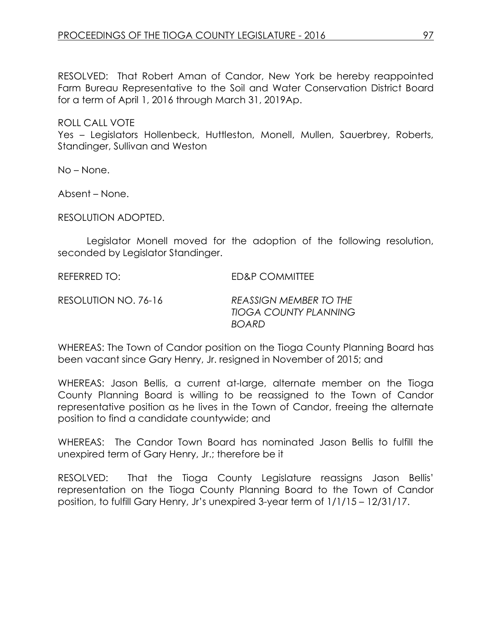RESOLVED: That Robert Aman of Candor, New York be hereby reappointed Farm Bureau Representative to the Soil and Water Conservation District Board for a term of April 1, 2016 through March 31, 2019Ap.

ROLL CALL VOTE Yes – Legislators Hollenbeck, Huttleston, Monell, Mullen, Sauerbrey, Roberts, Standinger, Sullivan and Weston

No – None.

Absent – None.

RESOLUTION ADOPTED.

Legislator Monell moved for the adoption of the following resolution, seconded by Legislator Standinger.

REFERRED TO: ED&P COMMITTEE

RESOLUTION NO. 76-16 *REASSIGN MEMBER TO THE TIOGA COUNTY PLANNING BOARD*

WHEREAS: The Town of Candor position on the Tioga County Planning Board has been vacant since Gary Henry, Jr. resigned in November of 2015; and

WHEREAS: Jason Bellis, a current at-large, alternate member on the Tioga County Planning Board is willing to be reassigned to the Town of Candor representative position as he lives in the Town of Candor, freeing the alternate position to find a candidate countywide; and

WHEREAS: The Candor Town Board has nominated Jason Bellis to fulfill the unexpired term of Gary Henry, Jr.; therefore be it

RESOLVED: That the Tioga County Legislature reassigns Jason Bellis' representation on the Tioga County Planning Board to the Town of Candor position, to fulfill Gary Henry, Jr's unexpired 3-year term of 1/1/15 – 12/31/17.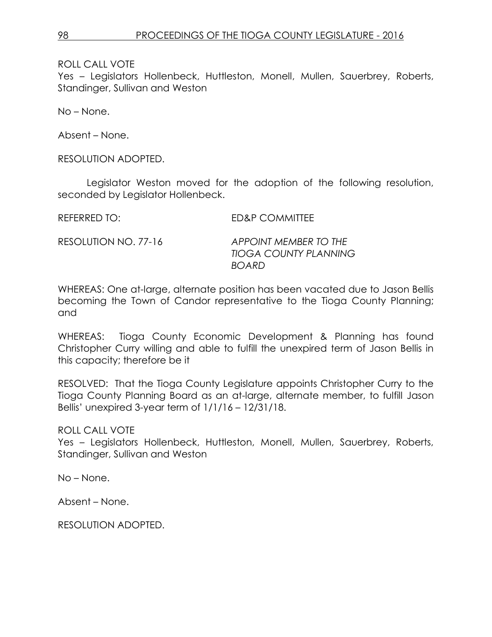Yes - Legislators Hollenbeck, Huttleston, Monell, Mullen, Sauerbrey, Roberts, Standinger, Sullivan and Weston

No – None.

Absent – None.

RESOLUTION ADOPTED.

Legislator Weston moved for the adoption of the following resolution, seconded by Legislator Hollenbeck.

REFERRED TO: ED&P COMMITTEE

RESOLUTION NO. 77-16 *APPOINT MEMBER TO THE TIOGA COUNTY PLANNING BOARD*

WHEREAS: One at-large, alternate position has been vacated due to Jason Bellis becoming the Town of Candor representative to the Tioga County Planning; and

WHEREAS: Tioga County Economic Development & Planning has found Christopher Curry willing and able to fulfill the unexpired term of Jason Bellis in this capacity; therefore be it

RESOLVED: That the Tioga County Legislature appoints Christopher Curry to the Tioga County Planning Board as an at-large, alternate member, to fulfill Jason Bellis' unexpired 3-year term of 1/1/16 – 12/31/18.

ROLL CALL VOTE

Yes – Legislators Hollenbeck, Huttleston, Monell, Mullen, Sauerbrey, Roberts, Standinger, Sullivan and Weston

No – None.

Absent – None.

RESOLUTION ADOPTED.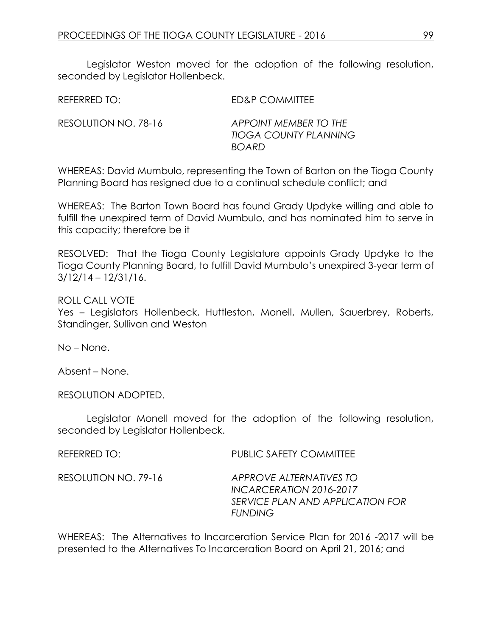Legislator Weston moved for the adoption of the following resolution, seconded by Legislator Hollenbeck.

REFERRED TO: ED&P COMMITTEE

RESOLUTION NO. 78-16 *APPOINT MEMBER TO THE TIOGA COUNTY PLANNING BOARD*

WHEREAS: David Mumbulo, representing the Town of Barton on the Tioga County Planning Board has resigned due to a continual schedule conflict; and

WHEREAS: The Barton Town Board has found Grady Updyke willing and able to fulfill the unexpired term of David Mumbulo, and has nominated him to serve in this capacity; therefore be it

RESOLVED: That the Tioga County Legislature appoints Grady Updyke to the Tioga County Planning Board, to fulfill David Mumbulo's unexpired 3-year term of 3/12/14 – 12/31/16.

ROLL CALL VOTE

Yes – Legislators Hollenbeck, Huttleston, Monell, Mullen, Sauerbrey, Roberts, Standinger, Sullivan and Weston

No – None.

Absent – None.

RESOLUTION ADOPTED.

Legislator Monell moved for the adoption of the following resolution, seconded by Legislator Hollenbeck.

REFERRED TO: PUBLIC SAFETY COMMITTEE RESOLUTION NO. 79-16 *APPROVE ALTERNATIVES TO INCARCERATION 2016-2017 SERVICE PLAN AND APPLICATION FOR FUNDING* 

WHEREAS: The Alternatives to Incarceration Service Plan for 2016 -2017 will be presented to the Alternatives To Incarceration Board on April 21, 2016; and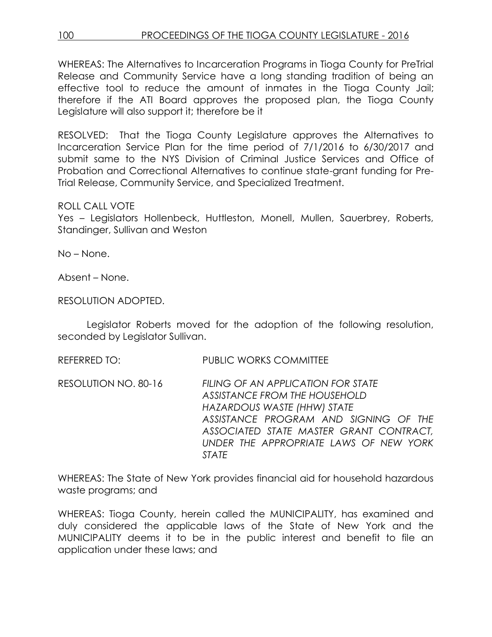100 PROCEEDINGS OF THE TIOGA COUNTY LEGISLATURE - 2016

WHEREAS: The Alternatives to Incarceration Programs in Tioga County for PreTrial Release and Community Service have a long standing tradition of being an effective tool to reduce the amount of inmates in the Tioga County Jail; therefore if the ATI Board approves the proposed plan, the Tioga County Legislature will also support it; therefore be it

RESOLVED: That the Tioga County Legislature approves the Alternatives to Incarceration Service Plan for the time period of 7/1/2016 to 6/30/2017 and submit same to the NYS Division of Criminal Justice Services and Office of Probation and Correctional Alternatives to continue state-grant funding for Pre-Trial Release, Community Service, and Specialized Treatment.

### ROLL CALL VOTE

Yes – Legislators Hollenbeck, Huttleston, Monell, Mullen, Sauerbrey, Roberts, Standinger, Sullivan and Weston

No – None.

Absent – None.

RESOLUTION ADOPTED.

Legislator Roberts moved for the adoption of the following resolution, seconded by Legislator Sullivan.

REFERRED TO: PUBLIC WORKS COMMITTEE

RESOLUTION NO. 80-16 *FILING OF AN APPLICATION FOR STATE ASSISTANCE FROM THE HOUSEHOLD HAZARDOUS WASTE (HHW) STATE ASSISTANCE PROGRAM AND SIGNING OF THE ASSOCIATED STATE MASTER GRANT CONTRACT, UNDER THE APPROPRIATE LAWS OF NEW YORK STATE*

WHEREAS: The State of New York provides financial aid for household hazardous waste programs; and

WHEREAS: Tioga County, herein called the MUNICIPALITY, has examined and duly considered the applicable laws of the State of New York and the MUNICIPALITY deems it to be in the public interest and benefit to file an application under these laws; and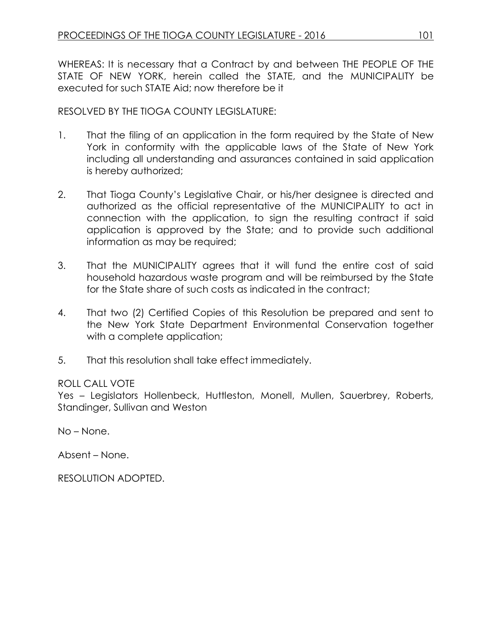WHEREAS: It is necessary that a Contract by and between THE PEOPLE OF THE STATE OF NEW YORK, herein called the STATE, and the MUNICIPALITY be executed for such STATE Aid; now therefore be it

# RESOLVED BY THE TIOGA COUNTY LEGISLATURE:

- 1. That the filing of an application in the form required by the State of New York in conformity with the applicable laws of the State of New York including all understanding and assurances contained in said application is hereby authorized;
- 2. That Tioga County's Legislative Chair, or his/her designee is directed and authorized as the official representative of the MUNICIPALITY to act in connection with the application, to sign the resulting contract if said application is approved by the State; and to provide such additional information as may be required;
- 3. That the MUNICIPALITY agrees that it will fund the entire cost of said household hazardous waste program and will be reimbursed by the State for the State share of such costs as indicated in the contract:
- 4. That two (2) Certified Copies of this Resolution be prepared and sent to the New York State Department Environmental Conservation together with a complete application;
- 5. That this resolution shall take effect immediately.

### ROLL CALL VOTE

Yes – Legislators Hollenbeck, Huttleston, Monell, Mullen, Sauerbrey, Roberts, Standinger, Sullivan and Weston

No – None.

Absent – None.

RESOLUTION ADOPTED.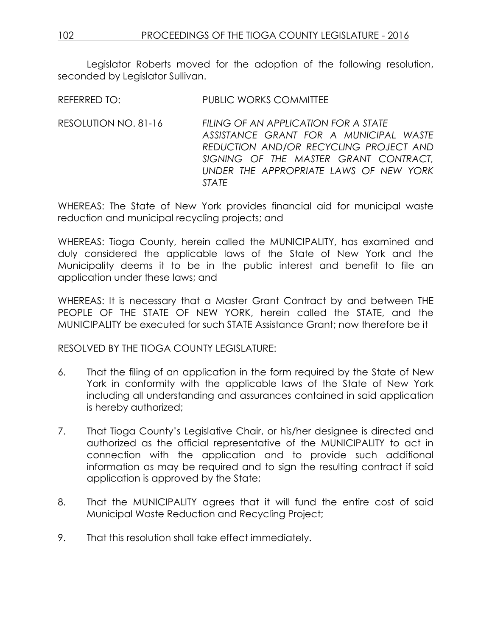Legislator Roberts moved for the adoption of the following resolution, seconded by Leaislator Sullivan.

REFERRED TO: PUBLIC WORKS COMMITTEE

RESOLUTION NO. 81-16 *FILING OF AN APPLICATION FOR A STATE ASSISTANCE GRANT FOR A MUNICIPAL WASTE REDUCTION AND/OR RECYCLING PROJECT AND SIGNING OF THE MASTER GRANT CONTRACT, UNDER THE APPROPRIATE LAWS OF NEW YORK STATE*

WHEREAS: The State of New York provides financial aid for municipal waste reduction and municipal recycling projects; and

WHEREAS: Tioga County, herein called the MUNICIPALITY, has examined and duly considered the applicable laws of the State of New York and the Municipality deems it to be in the public interest and benefit to file an application under these laws; and

WHEREAS: It is necessary that a Master Grant Contract by and between THE PEOPLE OF THE STATE OF NEW YORK, herein called the STATE, and the MUNICIPALITY be executed for such STATE Assistance Grant; now therefore be it

RESOLVED BY THE TIOGA COUNTY LEGISLATURE:

- 6. That the filing of an application in the form required by the State of New York in conformity with the applicable laws of the State of New York including all understanding and assurances contained in said application is hereby authorized;
- 7. That Tioga County's Legislative Chair, or his/her designee is directed and authorized as the official representative of the MUNICIPALITY to act in connection with the application and to provide such additional information as may be required and to sign the resulting contract if said application is approved by the State;
- 8. That the MUNICIPALITY agrees that it will fund the entire cost of said Municipal Waste Reduction and Recycling Project;
- 9. That this resolution shall take effect immediately.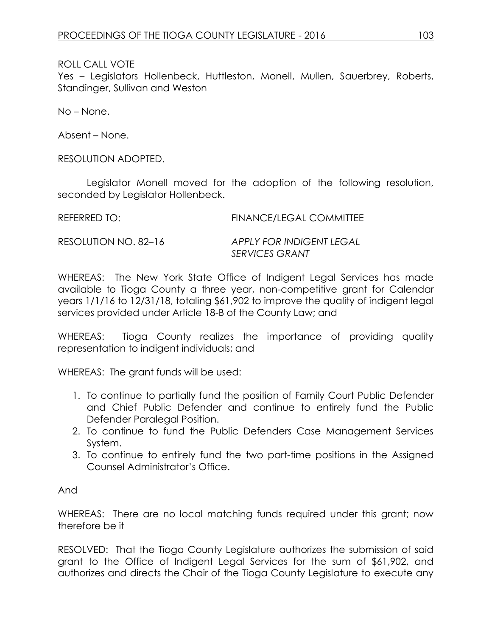Yes - Legislators Hollenbeck, Huttleston, Monell, Mullen, Sauerbrey, Roberts, Standinger, Sullivan and Weston

No – None.

Absent – None.

RESOLUTION ADOPTED.

Legislator Monell moved for the adoption of the following resolution, seconded by Legislator Hollenbeck.

REFERRED TO: FINANCE/LEGAL COMMITTEE

RESOLUTION NO. 82–16 *APPLY FOR INDIGENT LEGAL SERVICES GRANT*

WHEREAS: The New York State Office of Indigent Legal Services has made available to Tioga County a three year, non-competitive grant for Calendar years 1/1/16 to 12/31/18, totaling \$61,902 to improve the quality of indigent legal services provided under Article 18-B of the County Law; and

WHEREAS: Tioga County realizes the importance of providing quality representation to indigent individuals; and

WHEREAS: The grant funds will be used:

- 1. To continue to partially fund the position of Family Court Public Defender and Chief Public Defender and continue to entirely fund the Public Defender Paralegal Position.
- 2. To continue to fund the Public Defenders Case Management Services System.
- 3. To continue to entirely fund the two part-time positions in the Assigned Counsel Administrator's Office.

### And

WHEREAS: There are no local matching funds required under this grant; now therefore be it

RESOLVED: That the Tioga County Legislature authorizes the submission of said grant to the Office of Indigent Legal Services for the sum of \$61,902, and authorizes and directs the Chair of the Tioga County Legislature to execute any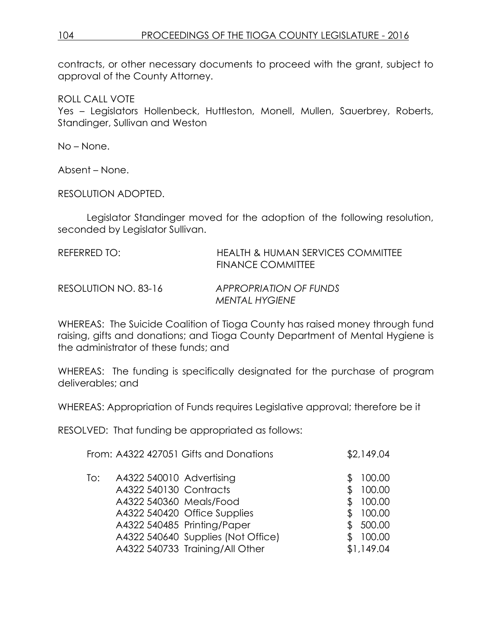contracts, or other necessary documents to proceed with the grant, subject to approval of the County Attorney.

ROLL CALL VOTE

Yes – Legislators Hollenbeck, Huttleston, Monell, Mullen, Sauerbrey, Roberts, Standinger, Sullivan and Weston

No – None.

Absent – None.

RESOLUTION ADOPTED.

Legislator Standinger moved for the adoption of the following resolution, seconded by Legislator Sullivan.

| REFERRED TO:         | <b>HEALTH &amp; HUMAN SERVICES COMMITTEE</b><br><b>FINANCE COMMITTEE</b> |
|----------------------|--------------------------------------------------------------------------|
| RESOLUTION NO. 83-16 | APPROPRIATION OF FUNDS<br>MENTAL HYGIENE                                 |

WHEREAS: The Suicide Coalition of Tioga County has raised money through fund raising, gifts and donations; and Tioga County Department of Mental Hygiene is the administrator of these funds; and

WHEREAS: The funding is specifically designated for the purchase of program deliverables; and

WHEREAS: Appropriation of Funds requires Legislative approval; therefore be it

RESOLVED: That funding be appropriated as follows:

|     |                                                    | From: A4322 427051 Gifts and Donations                      | \$2,149.04       |
|-----|----------------------------------------------------|-------------------------------------------------------------|------------------|
| To: | A4322 540010 Advertising<br>A4322 540130 Contracts |                                                             | 100.00<br>100.00 |
|     | A4322 540360 Meals/Food                            |                                                             | 100.00           |
|     |                                                    | A4322 540420 Office Supplies<br>A4322 540485 Printing/Paper | 100.00<br>500.00 |
|     |                                                    | A4322 540640 Supplies (Not Office)                          | 100.00           |
|     |                                                    | A4322 540733 Training/All Other                             | \$1,149.04       |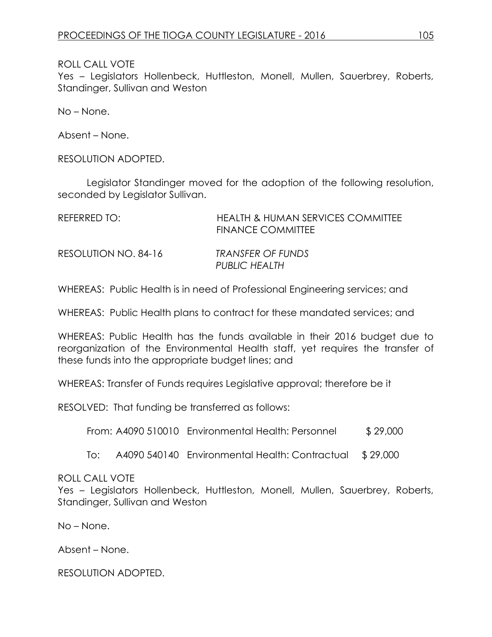Yes – Legislators Hollenbeck, Huttleston, Monell, Mullen, Sauerbrey, Roberts, Standinger, Sullivan and Weston

No – None.

Absent – None.

RESOLUTION ADOPTED.

Legislator Standinger moved for the adoption of the following resolution, seconded by Legislator Sullivan.

| REFERRED TO:         | <b>HEALTH &amp; HUMAN SERVICES COMMITTEE</b><br><b>FINANCE COMMITTEE</b> |
|----------------------|--------------------------------------------------------------------------|
| RESOLUTION NO. 84-16 | TRANSFER OF FUNDS<br>PUBLIC HEALTH                                       |

WHEREAS: Public Health is in need of Professional Engineering services; and

WHEREAS: Public Health plans to contract for these mandated services; and

WHEREAS: Public Health has the funds available in their 2016 budget due to reorganization of the Environmental Health staff, yet requires the transfer of these funds into the appropriate budget lines; and

WHEREAS: Transfer of Funds requires Legislative approval; therefore be it

RESOLVED: That funding be transferred as follows:

From: A4090 510010 Environmental Health: Personnel \$29,000

To: A4090 540140 Environmental Health: Contractual \$ 29,000

#### ROLL CALL VOTE

Yes – Legislators Hollenbeck, Huttleston, Monell, Mullen, Sauerbrey, Roberts, Standinger, Sullivan and Weston

No – None.

Absent – None.

RESOLUTION ADOPTED.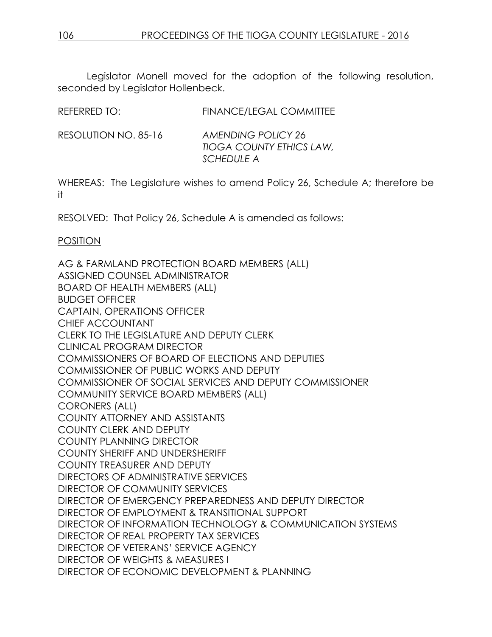Legislator Monell moved for the adoption of the following resolution, seconded by Legislator Hollenbeck.

REFERRED TO: FINANCE/LEGAL COMMITTEE

RESOLUTION NO. 85-16 *AMENDING POLICY 26 TIOGA COUNTY ETHICS LAW, SCHEDULE A*

WHEREAS: The Legislature wishes to amend Policy 26, Schedule A; therefore be it

RESOLVED: That Policy 26, Schedule A is amended as follows:

### POSITION

AG & FARMLAND PROTECTION BOARD MEMBERS (ALL) ASSIGNED COUNSEL ADMINISTRATOR BOARD OF HEALTH MEMBERS (ALL) BUDGET OFFICER CAPTAIN, OPERATIONS OFFICER CHIEF ACCOUNTANT CLERK TO THE LEGISLATURE AND DEPUTY CLERK CLINICAL PROGRAM DIRECTOR COMMISSIONERS OF BOARD OF ELECTIONS AND DEPUTIES COMMISSIONER OF PUBLIC WORKS AND DEPUTY COMMISSIONER OF SOCIAL SERVICES AND DEPUTY COMMISSIONER COMMUNITY SERVICE BOARD MEMBERS (ALL) CORONERS (ALL) COUNTY ATTORNEY AND ASSISTANTS COUNTY CLERK AND DEPUTY COUNTY PLANNING DIRECTOR COUNTY SHERIFF AND UNDERSHERIFF COUNTY TREASURER AND DEPUTY DIRECTORS OF ADMINISTRATIVE SERVICES DIRECTOR OF COMMUNITY SERVICES DIRECTOR OF EMERGENCY PREPAREDNESS AND DEPUTY DIRECTOR DIRECTOR OF EMPLOYMENT & TRANSITIONAL SUPPORT DIRECTOR OF INFORMATION TECHNOLOGY & COMMUNICATION SYSTEMS DIRECTOR OF REAL PROPERTY TAX SERVICES DIRECTOR OF VETERANS' SERVICE AGENCY DIRECTOR OF WEIGHTS & MEASURES I DIRECTOR OF ECONOMIC DEVELOPMENT & PLANNING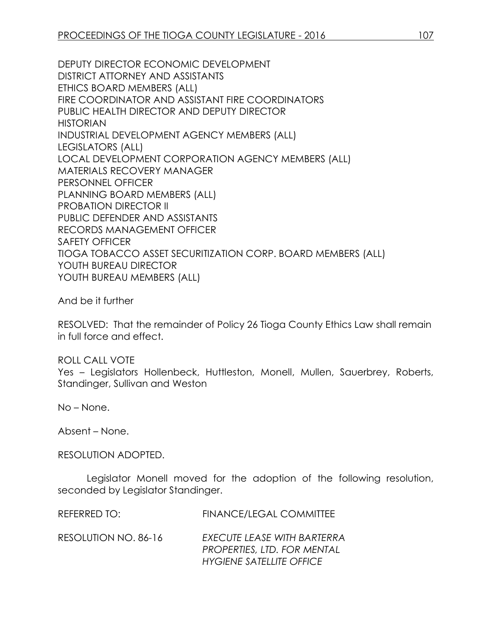DEPUTY DIRECTOR ECONOMIC DEVELOPMENT DISTRICT ATTORNEY AND ASSISTANTS ETHICS BOARD MEMBERS (ALL) FIRE COORDINATOR AND ASSISTANT FIRE COORDINATORS PUBLIC HEALTH DIRECTOR AND DEPUTY DIRECTOR HISTORIAN INDUSTRIAL DEVELOPMENT AGENCY MEMBERS (ALL) LEGISLATORS (ALL) LOCAL DEVELOPMENT CORPORATION AGENCY MEMBERS (ALL) MATERIALS RECOVERY MANAGER PERSONNEL OFFICER PLANNING BOARD MEMBERS (ALL) PROBATION DIRECTOR II PUBLIC DEFENDER AND ASSISTANTS RECORDS MANAGEMENT OFFICER SAFETY OFFICER TIOGA TOBACCO ASSET SECURITIZATION CORP. BOARD MEMBERS (ALL) YOUTH BUREAU DIRECTOR YOUTH BUREAU MEMBERS (ALL)

And be it further

RESOLVED: That the remainder of Policy 26 Tioga County Ethics Law shall remain in full force and effect.

ROLL CALL VOTE Yes – Legislators Hollenbeck, Huttleston, Monell, Mullen, Sauerbrey, Roberts, Standinger, Sullivan and Weston

No – None.

Absent – None.

RESOLUTION ADOPTED.

Legislator Monell moved for the adoption of the following resolution, seconded by Legislator Standinger.

| REFERRED TO:         | FINANCE/LEGAL COMMITTEE                                                                       |
|----------------------|-----------------------------------------------------------------------------------------------|
| RESOLUTION NO. 86-16 | EXECUTE LEASE WITH BARTERRA<br>PROPERTIES, LTD. FOR MENTAL<br><b>HYGIENE SATELLITE OFFICE</b> |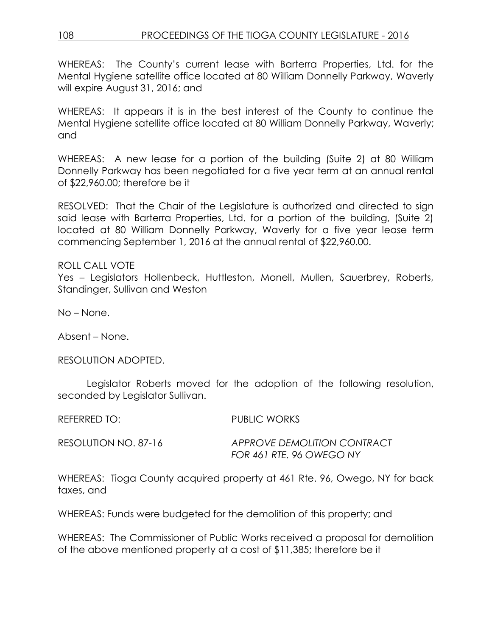### 108 PROCEEDINGS OF THE TIOGA COUNTY LEGISLATURE - 2016

WHEREAS: The County's current lease with Barterra Properties, Ltd. for the Mental Hygiene satellite office located at 80 William Donnelly Parkway, Waverly will expire August 31, 2016; and

WHEREAS: It appears it is in the best interest of the County to continue the Mental Hygiene satellite office located at 80 William Donnelly Parkway, Waverly; and

WHEREAS: A new lease for a portion of the building (Suite 2) at 80 William Donnelly Parkway has been negotiated for a five year term at an annual rental of \$22,960.00; therefore be it

RESOLVED: That the Chair of the Legislature is authorized and directed to sign said lease with Barterra Properties, Ltd. for a portion of the building, (Suite 2) located at 80 William Donnelly Parkway, Waverly for a five year lease term commencing September 1, 2016 at the annual rental of \$22,960.00.

ROLL CALL VOTE

Yes – Legislators Hollenbeck, Huttleston, Monell, Mullen, Sauerbrey, Roberts, Standinger, Sullivan and Weston

No – None.

Absent – None.

RESOLUTION ADOPTED.

Legislator Roberts moved for the adoption of the following resolution, seconded by Legislator Sullivan.

REFERRED TO: PUBLIC WORKS

RESOLUTION NO. 87-16 *APPROVE DEMOLITION CONTRACT FOR 461 RTE. 96 OWEGO NY*

WHEREAS: Tioga County acquired property at 461 Rte. 96, Owego, NY for back taxes, and

WHEREAS: Funds were budgeted for the demolition of this property; and

WHEREAS: The Commissioner of Public Works received a proposal for demolition of the above mentioned property at a cost of \$11,385; therefore be it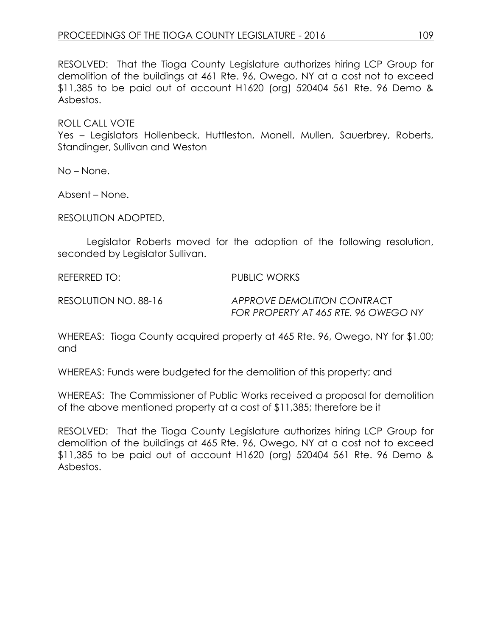RESOLVED: That the Tioga County Legislature authorizes hiring LCP Group for demolition of the buildings at 461 Rte. 96, Owego, NY at a cost not to exceed \$11,385 to be paid out of account H1620 (org) 520404 561 Rte. 96 Demo & Asbestos.

ROLL CALL VOTE

Yes – Legislators Hollenbeck, Huttleston, Monell, Mullen, Sauerbrey, Roberts, Standinger, Sullivan and Weston

No – None.

Absent – None.

RESOLUTION ADOPTED.

Legislator Roberts moved for the adoption of the following resolution, seconded by Legislator Sullivan.

REFERRED TO: PUBLIC WORKS

RESOLUTION NO. 88-16 *APPROVE DEMOLITION CONTRACT FOR PROPERTY AT 465 RTE. 96 OWEGO NY*

WHEREAS: Tioga County acquired property at 465 Rte. 96, Owego, NY for \$1.00; and

WHEREAS: Funds were budgeted for the demolition of this property; and

WHEREAS: The Commissioner of Public Works received a proposal for demolition of the above mentioned property at a cost of \$11,385; therefore be it

RESOLVED: That the Tioga County Legislature authorizes hiring LCP Group for demolition of the buildings at 465 Rte. 96, Owego, NY at a cost not to exceed \$11,385 to be paid out of account H1620 (org) 520404 561 Rte. 96 Demo & Asbestos.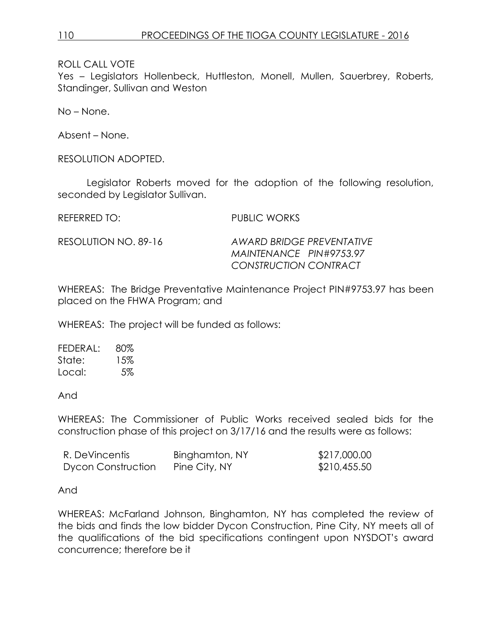Yes - Legislators Hollenbeck, Huttleston, Monell, Mullen, Sauerbrey, Roberts, Standinger, Sullivan and Weston

No – None.

Absent – None.

RESOLUTION ADOPTED.

Legislator Roberts moved for the adoption of the following resolution, seconded by Legislator Sullivan.

REFERRED TO: PUBLIC WORKS

RESOLUTION NO. 89-16 *AWARD BRIDGE PREVENTATIVE MAINTENANCE PIN#9753.97 CONSTRUCTION CONTRACT*

WHEREAS: The Bridge Preventative Maintenance Project PIN#9753.97 has been placed on the FHWA Program; and

WHEREAS: The project will be funded as follows:

| FEDERAL: | 80% |
|----------|-----|
| State:   | 15% |
| Local:   | 5%  |

And

WHEREAS: The Commissioner of Public Works received sealed bids for the construction phase of this project on 3/17/16 and the results were as follows:

| R. DeVincentis            | Binghamton, NY | \$217,000.00 |
|---------------------------|----------------|--------------|
| <b>Dycon Construction</b> | Pine City, NY  | \$210,455.50 |

And

WHEREAS: McFarland Johnson, Binghamton, NY has completed the review of the bids and finds the low bidder Dycon Construction, Pine City, NY meets all of the qualifications of the bid specifications contingent upon NYSDOT's award concurrence; therefore be it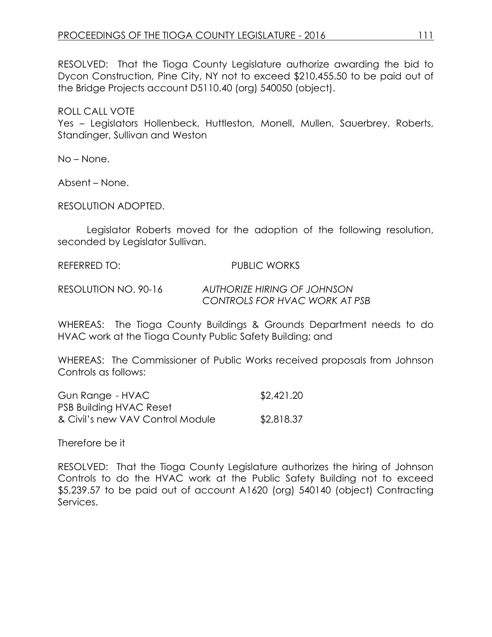RESOLVED: That the Tioga County Legislature authorize awarding the bid to Dycon Construction, Pine City, NY not to exceed \$210,455.50 to be paid out of the Bridge Projects account D5110.40 (org) 540050 (object).

ROLL CALL VOTE Yes – Legislators Hollenbeck, Huttleston, Monell, Mullen, Sauerbrey, Roberts, Standinger, Sullivan and Weston

No – None.

Absent – None.

RESOLUTION ADOPTED.

Legislator Roberts moved for the adoption of the following resolution, seconded by Legislator Sullivan.

REFERRED TO: PUBLIC WORKS

RESOLUTION NO. 90-16 *AUTHORIZE HIRING OF JOHNSON*

*CONTROLS FOR HVAC WORK AT PSB*

WHEREAS: The Tioga County Buildings & Grounds Department needs to do HVAC work at the Tioga County Public Safety Building; and

WHEREAS: The Commissioner of Public Works received proposals from Johnson Controls as follows:

| Gun Range - HVAC                 | \$2,421.20 |
|----------------------------------|------------|
| <b>PSB Building HVAC Reset</b>   |            |
| & Civil's new VAV Control Module | \$2,818.37 |

Therefore be it

RESOLVED: That the Tioga County Legislature authorizes the hiring of Johnson Controls to do the HVAC work at the Public Safety Building not to exceed \$5,239.57 to be paid out of account A1620 (org) 540140 (object) Contracting Services.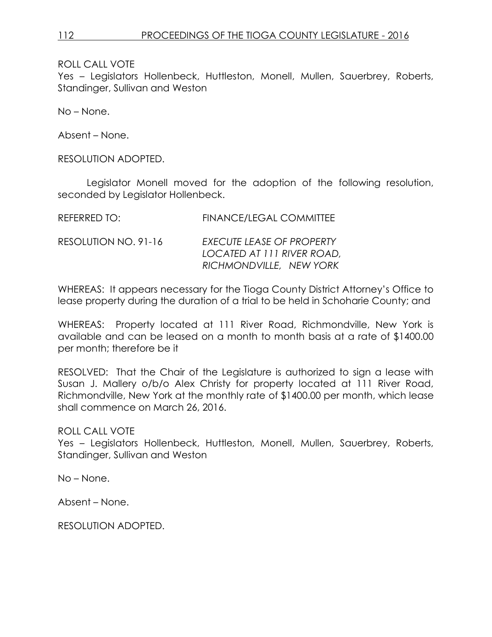Yes – Legislators Hollenbeck, Huttleston, Monell, Mullen, Sauerbrey, Roberts, Standinger, Sullivan and Weston

No – None.

Absent – None.

RESOLUTION ADOPTED.

Legislator Monell moved for the adoption of the following resolution, seconded by Legislator Hollenbeck.

| REFERRED TO:         | FINANCE/LEGAL COMMITTEE                                                            |
|----------------------|------------------------------------------------------------------------------------|
| RESOLUTION NO. 91-16 | EXECUTE LEASE OF PROPERTY<br>LOCATED AT 111 RIVER ROAD.<br>RICHMONDVILLE, NEW YORK |

WHEREAS: It appears necessary for the Tioga County District Attorney's Office to lease property during the duration of a trial to be held in Schoharie County; and

WHEREAS: Property located at 111 River Road, Richmondville, New York is available and can be leased on a month to month basis at a rate of \$1400.00 per month; therefore be it

RESOLVED: That the Chair of the Legislature is authorized to sign a lease with Susan J. Mallery o/b/o Alex Christy for property located at 111 River Road, Richmondville, New York at the monthly rate of \$1400.00 per month, which lease shall commence on March 26, 2016.

### ROLL CALL VOTE

Yes – Legislators Hollenbeck, Huttleston, Monell, Mullen, Sauerbrey, Roberts, Standinger, Sullivan and Weston

No – None.

Absent – None.

RESOLUTION ADOPTED.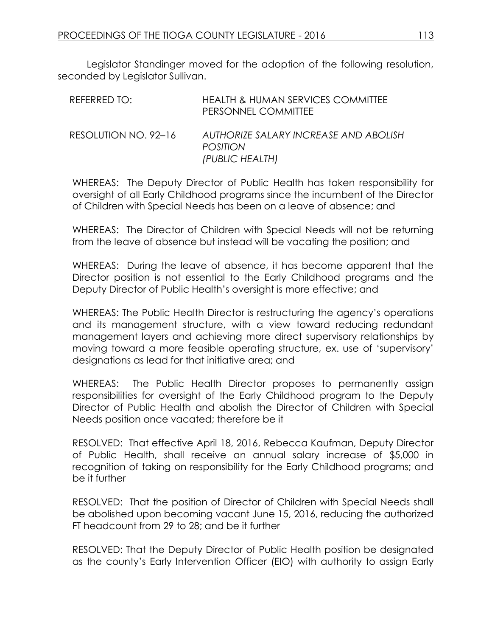Legislator Standinger moved for the adoption of the following resolution, seconded by Legislator Sullivan.

| REFERRED TO:         | <b>HEALTH &amp; HUMAN SERVICES COMMITTEE</b><br>PERSONNEL COMMITTEE         |
|----------------------|-----------------------------------------------------------------------------|
| RESOLUTION NO. 92-16 | AUTHORIZE SALARY INCREASE AND ABOLISH<br><b>POSITION</b><br>(PUBLIC HEALTH) |

WHEREAS: The Deputy Director of Public Health has taken responsibility for oversight of all Early Childhood programs since the incumbent of the Director of Children with Special Needs has been on a leave of absence; and

WHEREAS: The Director of Children with Special Needs will not be returning from the leave of absence but instead will be vacating the position; and

WHEREAS: During the leave of absence, it has become apparent that the Director position is not essential to the Early Childhood programs and the Deputy Director of Public Health's oversight is more effective; and

WHEREAS: The Public Health Director is restructuring the agency's operations and its management structure, with a view toward reducing redundant management layers and achieving more direct supervisory relationships by moving toward a more feasible operating structure, ex. use of 'supervisory' designations as lead for that initiative area; and

WHEREAS: The Public Health Director proposes to permanently assign responsibilities for oversight of the Early Childhood program to the Deputy Director of Public Health and abolish the Director of Children with Special Needs position once vacated; therefore be it

RESOLVED: That effective April 18, 2016, Rebecca Kaufman, Deputy Director of Public Health, shall receive an annual salary increase of \$5,000 in recognition of taking on responsibility for the Early Childhood programs; and be it further

RESOLVED: That the position of Director of Children with Special Needs shall be abolished upon becoming vacant June 15, 2016, reducing the authorized FT headcount from 29 to 28; and be it further

RESOLVED: That the Deputy Director of Public Health position be designated as the county's Early Intervention Officer (EIO) with authority to assign Early